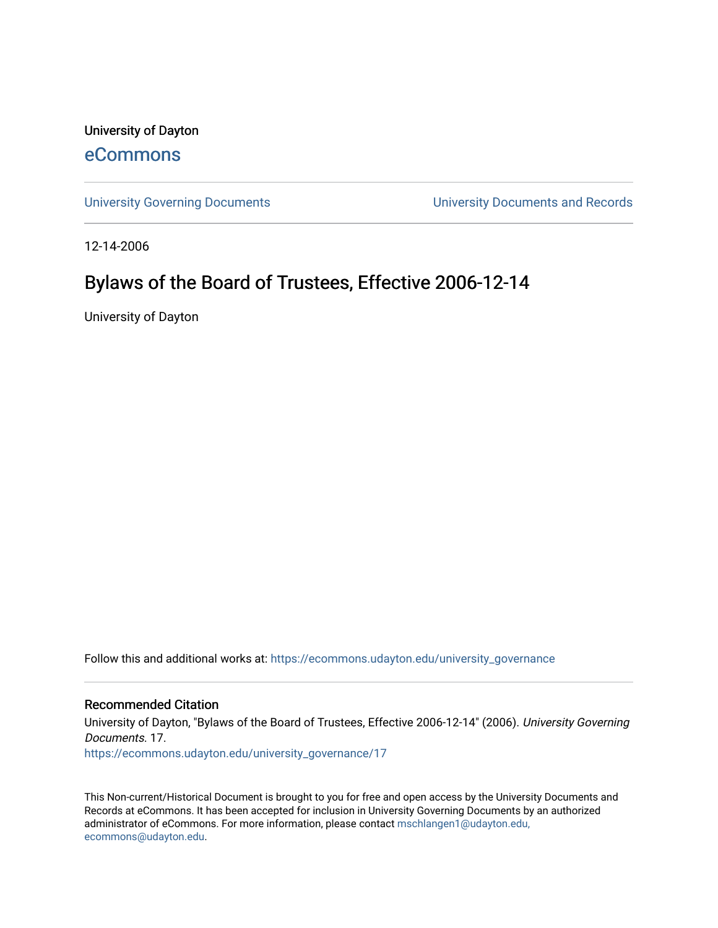University of Dayton

### [eCommons](https://ecommons.udayton.edu/)

[University Governing Documents](https://ecommons.udayton.edu/university_governance) [University Documents and Records](https://ecommons.udayton.edu/ud_documents) 

12-14-2006

## Bylaws of the Board of Trustees, Effective 2006-12-14

University of Dayton

Follow this and additional works at: [https://ecommons.udayton.edu/university\\_governance](https://ecommons.udayton.edu/university_governance?utm_source=ecommons.udayton.edu%2Funiversity_governance%2F17&utm_medium=PDF&utm_campaign=PDFCoverPages) 

#### Recommended Citation

University of Dayton, "Bylaws of the Board of Trustees, Effective 2006-12-14" (2006). University Governing Documents. 17.

[https://ecommons.udayton.edu/university\\_governance/17](https://ecommons.udayton.edu/university_governance/17?utm_source=ecommons.udayton.edu%2Funiversity_governance%2F17&utm_medium=PDF&utm_campaign=PDFCoverPages)

This Non-current/Historical Document is brought to you for free and open access by the University Documents and Records at eCommons. It has been accepted for inclusion in University Governing Documents by an authorized administrator of eCommons. For more information, please contact [mschlangen1@udayton.edu,](mailto:mschlangen1@udayton.edu,%20ecommons@udayton.edu) [ecommons@udayton.edu](mailto:mschlangen1@udayton.edu,%20ecommons@udayton.edu).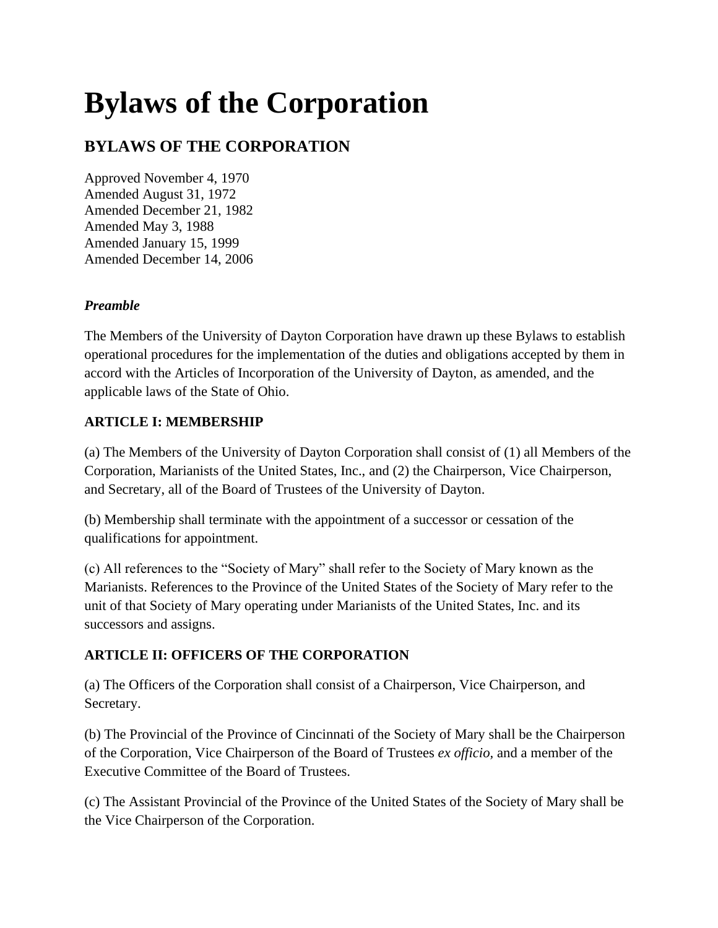# **Bylaws of the Corporation**

## **BYLAWS OF THE CORPORATION**

Approved November 4, 1970 Amended August 31, 1972 Amended December 21, 1982 Amended May 3, 1988 Amended January 15, 1999 Amended December 14, 2006

#### *Preamble*

The Members of the University of Dayton Corporation have drawn up these Bylaws to establish operational procedures for the implementation of the duties and obligations accepted by them in accord with the Articles of Incorporation of the University of Dayton, as amended, and the applicable laws of the State of Ohio.

#### **ARTICLE I: MEMBERSHIP**

(a) The Members of the University of Dayton Corporation shall consist of (1) all Members of the Corporation, Marianists of the United States, Inc., and (2) the Chairperson, Vice Chairperson, and Secretary, all of the Board of Trustees of the University of Dayton.

(b) Membership shall terminate with the appointment of a successor or cessation of the qualifications for appointment.

(c) All references to the "Society of Mary" shall refer to the Society of Mary known as the Marianists. References to the Province of the United States of the Society of Mary refer to the unit of that Society of Mary operating under Marianists of the United States, Inc. and its successors and assigns.

#### **ARTICLE II: OFFICERS OF THE CORPORATION**

(a) The Officers of the Corporation shall consist of a Chairperson, Vice Chairperson, and Secretary.

(b) The Provincial of the Province of Cincinnati of the Society of Mary shall be the Chairperson of the Corporation, Vice Chairperson of the Board of Trustees *ex officio,* and a member of the Executive Committee of the Board of Trustees.

(c) The Assistant Provincial of the Province of the United States of the Society of Mary shall be the Vice Chairperson of the Corporation.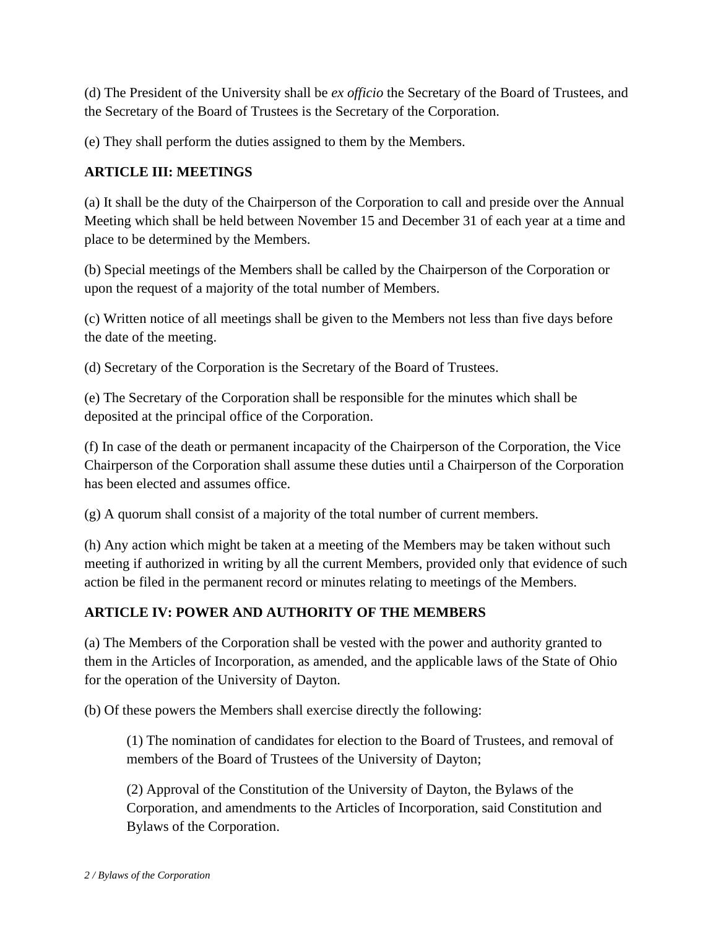(d) The President of the University shall be *ex officio* the Secretary of the Board of Trustees, and the Secretary of the Board of Trustees is the Secretary of the Corporation.

(e) They shall perform the duties assigned to them by the Members.

#### **ARTICLE III: MEETINGS**

(a) It shall be the duty of the Chairperson of the Corporation to call and preside over the Annual Meeting which shall be held between November 15 and December 31 of each year at a time and place to be determined by the Members.

(b) Special meetings of the Members shall be called by the Chairperson of the Corporation or upon the request of a majority of the total number of Members.

(c) Written notice of all meetings shall be given to the Members not less than five days before the date of the meeting.

(d) Secretary of the Corporation is the Secretary of the Board of Trustees.

(e) The Secretary of the Corporation shall be responsible for the minutes which shall be deposited at the principal office of the Corporation.

(f) In case of the death or permanent incapacity of the Chairperson of the Corporation, the Vice Chairperson of the Corporation shall assume these duties until a Chairperson of the Corporation has been elected and assumes office.

(g) A quorum shall consist of a majority of the total number of current members.

(h) Any action which might be taken at a meeting of the Members may be taken without such meeting if authorized in writing by all the current Members, provided only that evidence of such action be filed in the permanent record or minutes relating to meetings of the Members.

#### **ARTICLE IV: POWER AND AUTHORITY OF THE MEMBERS**

(a) The Members of the Corporation shall be vested with the power and authority granted to them in the Articles of Incorporation, as amended, and the applicable laws of the State of Ohio for the operation of the University of Dayton.

(b) Of these powers the Members shall exercise directly the following:

(1) The nomination of candidates for election to the Board of Trustees, and removal of members of the Board of Trustees of the University of Dayton;

(2) Approval of the Constitution of the University of Dayton, the Bylaws of the Corporation, and amendments to the Articles of Incorporation, said Constitution and Bylaws of the Corporation.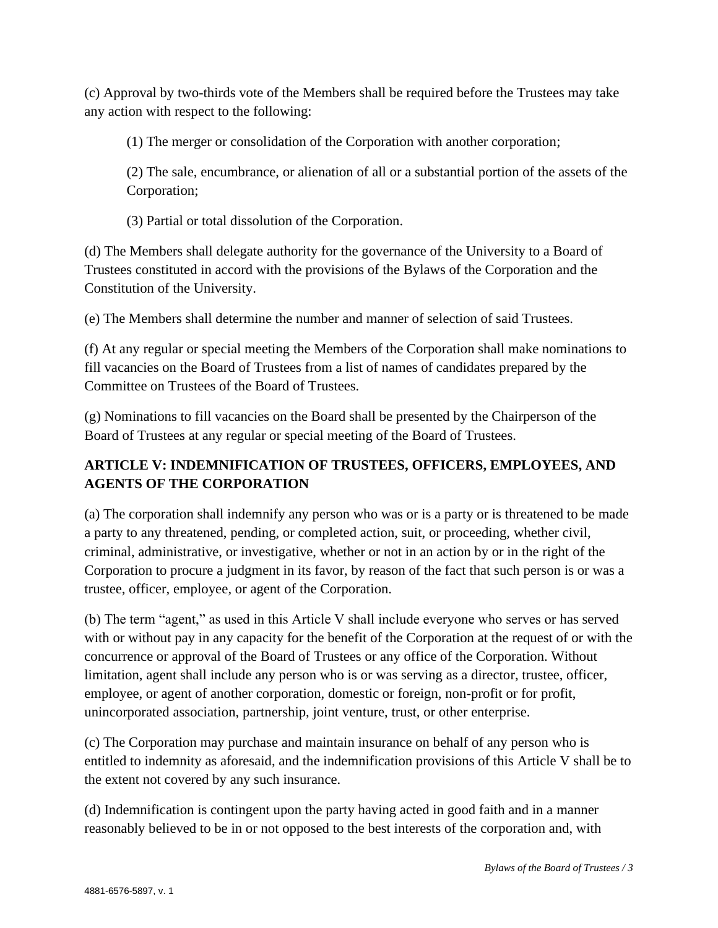(c) Approval by two-thirds vote of the Members shall be required before the Trustees may take any action with respect to the following:

(1) The merger or consolidation of the Corporation with another corporation;

(2) The sale, encumbrance, or alienation of all or a substantial portion of the assets of the Corporation;

(3) Partial or total dissolution of the Corporation.

(d) The Members shall delegate authority for the governance of the University to a Board of Trustees constituted in accord with the provisions of the Bylaws of the Corporation and the Constitution of the University.

(e) The Members shall determine the number and manner of selection of said Trustees.

(f) At any regular or special meeting the Members of the Corporation shall make nominations to fill vacancies on the Board of Trustees from a list of names of candidates prepared by the Committee on Trustees of the Board of Trustees.

(g) Nominations to fill vacancies on the Board shall be presented by the Chairperson of the Board of Trustees at any regular or special meeting of the Board of Trustees.

### **ARTICLE V: INDEMNIFICATION OF TRUSTEES, OFFICERS, EMPLOYEES, AND AGENTS OF THE CORPORATION**

(a) The corporation shall indemnify any person who was or is a party or is threatened to be made a party to any threatened, pending, or completed action, suit, or proceeding, whether civil, criminal, administrative, or investigative, whether or not in an action by or in the right of the Corporation to procure a judgment in its favor, by reason of the fact that such person is or was a trustee, officer, employee, or agent of the Corporation.

(b) The term "agent," as used in this Article V shall include everyone who serves or has served with or without pay in any capacity for the benefit of the Corporation at the request of or with the concurrence or approval of the Board of Trustees or any office of the Corporation. Without limitation, agent shall include any person who is or was serving as a director, trustee, officer, employee, or agent of another corporation, domestic or foreign, non-profit or for profit, unincorporated association, partnership, joint venture, trust, or other enterprise.

(c) The Corporation may purchase and maintain insurance on behalf of any person who is entitled to indemnity as aforesaid, and the indemnification provisions of this Article V shall be to the extent not covered by any such insurance.

(d) Indemnification is contingent upon the party having acted in good faith and in a manner reasonably believed to be in or not opposed to the best interests of the corporation and, with